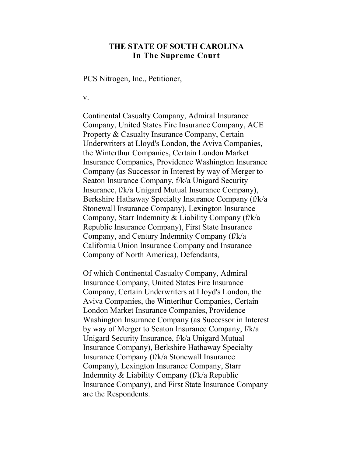## **THE STATE OF SOUTH CAROLINA In The Supreme Court**

PCS Nitrogen, Inc., Petitioner,

v.

Continental Casualty Company, Admiral Insurance Company, United States Fire Insurance Company, ACE Property & Casualty Insurance Company, Certain Underwriters at Lloyd's London, the Aviva Companies, the Winterthur Companies, Certain London Market Insurance Companies, Providence Washington Insurance Company (as Successor in Interest by way of Merger to Seaton Insurance Company, f/k/a Unigard Security Insurance, f/k/a Unigard Mutual Insurance Company), Berkshire Hathaway Specialty Insurance Company (f/k/a Stonewall Insurance Company), Lexington Insurance Company, Starr Indemnity & Liability Company (f/k/a Republic Insurance Company), First State Insurance Company, and Century Indemnity Company (f/k/a California Union Insurance Company and Insurance Company of North America), Defendants,

Of which Continental Casualty Company, Admiral Insurance Company, United States Fire Insurance Company, Certain Underwriters at Lloyd's London, the Aviva Companies, the Winterthur Companies, Certain London Market Insurance Companies, Providence Washington Insurance Company (as Successor in Interest by way of Merger to Seaton Insurance Company, f/k/a Unigard Security Insurance, f/k/a Unigard Mutual Insurance Company), Berkshire Hathaway Specialty Insurance Company (f/k/a Stonewall Insurance Company), Lexington Insurance Company, Starr Indemnity & Liability Company (f/k/a Republic Insurance Company), and First State Insurance Company are the Respondents.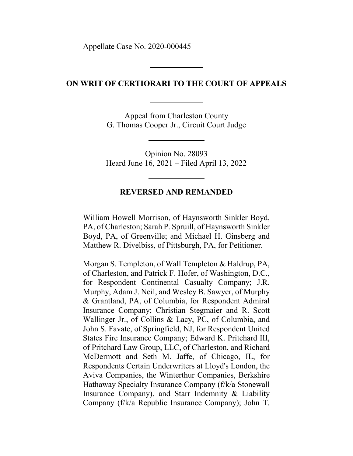Appellate Case No. 2020-000445

### **ON WRIT OF CERTIORARI TO THE COURT OF APPEALS**

Appeal from Charleston County G. Thomas Cooper Jr., Circuit Court Judge

Opinion No. 28093 Heard June 16, 2021 – Filed April 13, 2022

#### **REVERSED AND REMANDED**

William Howell Morrison, of Haynsworth Sinkler Boyd, PA, of Charleston; Sarah P. Spruill, of Haynsworth Sinkler Boyd, PA, of Greenville; and Michael H. Ginsberg and Matthew R. Divelbiss, of Pittsburgh, PA, for Petitioner.

Morgan S. Templeton, of Wall Templeton & Haldrup, PA, of Charleston, and Patrick F. Hofer, of Washington, D.C., for Respondent Continental Casualty Company; J.R. Murphy, Adam J. Neil, and Wesley B. Sawyer, of Murphy & Grantland, PA, of Columbia, for Respondent Admiral Insurance Company; Christian Stegmaier and R. Scott Wallinger Jr., of Collins & Lacy, PC, of Columbia, and John S. Favate, of Springfield, NJ, for Respondent United States Fire Insurance Company; Edward K. Pritchard III, of Pritchard Law Group, LLC, of Charleston, and Richard McDermott and Seth M. Jaffe, of Chicago, IL, for Respondents Certain Underwriters at Lloyd's London, the Aviva Companies, the Winterthur Companies, Berkshire Hathaway Specialty Insurance Company (f/k/a Stonewall Insurance Company), and Starr Indemnity & Liability Company (f/k/a Republic Insurance Company); John T.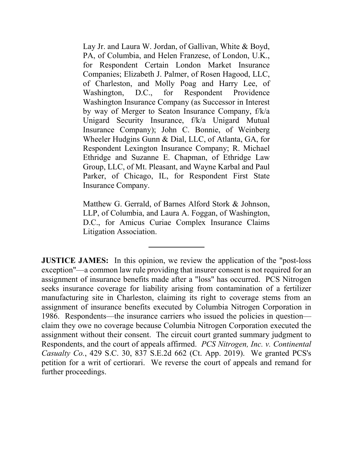Lay Jr. and Laura W. Jordan, of Gallivan, White & Boyd, PA, of Columbia, and Helen Franzese, of London, U.K., for Respondent Certain London Market Insurance Companies; Elizabeth J. Palmer, of Rosen Hagood, LLC, of Charleston, and Molly Poag and Harry Lee, of Washington, D.C., for Respondent Providence Washington Insurance Company (as Successor in Interest by way of Merger to Seaton Insurance Company, f/k/a Unigard Security Insurance, f/k/a Unigard Mutual Insurance Company); John C. Bonnie, of Weinberg Wheeler Hudgins Gunn & Dial, LLC, of Atlanta, GA, for Respondent Lexington Insurance Company; R. Michael Ethridge and Suzanne E. Chapman, of Ethridge Law Group, LLC, of Mt. Pleasant, and Wayne Karbal and Paul Parker, of Chicago, IL, for Respondent First State Insurance Company.

Matthew G. Gerrald, of Barnes Alford Stork & Johnson, LLP, of Columbia, and Laura A. Foggan, of Washington, D.C., for Amicus Curiae Complex Insurance Claims Litigation Association.

**JUSTICE JAMES:** In this opinion, we review the application of the "post-loss" exception"—a common law rule providing that insurer consent is not required for an assignment of insurance benefits made after a "loss" has occurred. PCS Nitrogen seeks insurance coverage for liability arising from contamination of a fertilizer manufacturing site in Charleston, claiming its right to coverage stems from an assignment of insurance benefits executed by Columbia Nitrogen Corporation in 1986. Respondents—the insurance carriers who issued the policies in question claim they owe no coverage because Columbia Nitrogen Corporation executed the assignment without their consent. The circuit court granted summary judgment to Respondents, and the court of appeals affirmed. *PCS Nitrogen, Inc. v. Continental Casualty Co.*, 429 S.C. 30, 837 S.E.2d 662 (Ct. App. 2019). We granted PCS's petition for a writ of certiorari. We reverse the court of appeals and remand for further proceedings.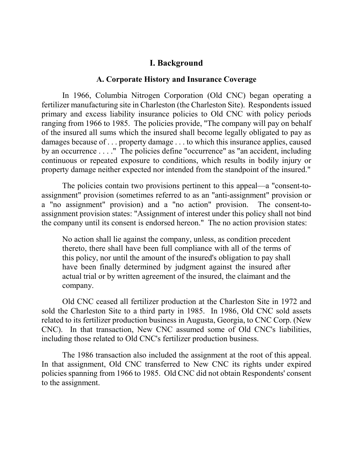# **I. Background**

#### **A. Corporate History and Insurance Coverage**

In 1966, Columbia Nitrogen Corporation (Old CNC) began operating a fertilizer manufacturing site in Charleston (the Charleston Site). Respondents issued primary and excess liability insurance policies to Old CNC with policy periods ranging from 1966 to 1985. The policies provide, "The company will pay on behalf of the insured all sums which the insured shall become legally obligated to pay as damages because of . . . property damage . . . to which this insurance applies, caused by an occurrence . . . ." The policies define "occurrence" as "an accident, including continuous or repeated exposure to conditions, which results in bodily injury or property damage neither expected nor intended from the standpoint of the insured."

The policies contain two provisions pertinent to this appeal—a "consent-toassignment" provision (sometimes referred to as an "anti-assignment" provision or a "no assignment" provision) and a "no action" provision. The consent-toassignment provision states: "Assignment of interest under this policy shall not bind the company until its consent is endorsed hereon." The no action provision states:

No action shall lie against the company, unless, as condition precedent thereto, there shall have been full compliance with all of the terms of this policy, nor until the amount of the insured's obligation to pay shall have been finally determined by judgment against the insured after actual trial or by written agreement of the insured, the claimant and the company.

Old CNC ceased all fertilizer production at the Charleston Site in 1972 and sold the Charleston Site to a third party in 1985. In 1986, Old CNC sold assets related to its fertilizer production business in Augusta, Georgia, to CNC Corp. (New CNC). In that transaction, New CNC assumed some of Old CNC's liabilities, including those related to Old CNC's fertilizer production business.

The 1986 transaction also included the assignment at the root of this appeal. In that assignment, Old CNC transferred to New CNC its rights under expired policies spanning from 1966 to 1985. Old CNC did not obtain Respondents' consent to the assignment.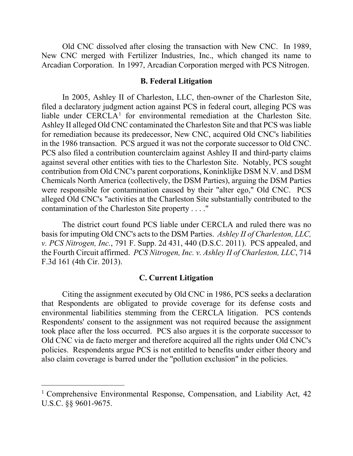Old CNC dissolved after closing the transaction with New CNC. In 1989, New CNC merged with Fertilizer Industries, Inc., which changed its name to Arcadian Corporation. In 1997, Arcadian Corporation merged with PCS Nitrogen.

#### **B. Federal Litigation**

In 2005, Ashley II of Charleston, LLC, then-owner of the Charleston Site, filed a declaratory judgment action against PCS in federal court, alleging PCS was liable under CERCLA<sup>[1](#page-4-0)</sup> for environmental remediation at the Charleston Site. Ashley II alleged Old CNC contaminated the Charleston Site and that PCS was liable for remediation because its predecessor, New CNC, acquired Old CNC's liabilities in the 1986 transaction. PCS argued it was not the corporate successor to Old CNC. PCS also filed a contribution counterclaim against Ashley II and third-party claims against several other entities with ties to the Charleston Site. Notably, PCS sought contribution from Old CNC's parent corporations, Koninklijke DSM N.V. and DSM Chemicals North America (collectively, the DSM Parties), arguing the DSM Parties were responsible for contamination caused by their "alter ego," Old CNC. PCS alleged Old CNC's "activities at the Charleston Site substantially contributed to the contamination of the Charleston Site property . . . ."

The district court found PCS liable under CERCLA and ruled there was no basis for imputing Old CNC's acts to the DSM Parties. *Ashley II of Charleston, LLC, v. PCS Nitrogen, Inc.*, 791 F. Supp. 2d 431, 440 (D.S.C. 2011). PCS appealed, and the Fourth Circuit affirmed. *PCS Nitrogen, Inc. v. Ashley II of Charleston, LLC*, 714 F.3d 161 (4th Cir. 2013).

#### **C. Current Litigation**

Citing the assignment executed by Old CNC in 1986, PCS seeks a declaration that Respondents are obligated to provide coverage for its defense costs and environmental liabilities stemming from the CERCLA litigation. PCS contends Respondents' consent to the assignment was not required because the assignment took place after the loss occurred. PCS also argues it is the corporate successor to Old CNC via de facto merger and therefore acquired all the rights under Old CNC's policies. Respondents argue PCS is not entitled to benefits under either theory and also claim coverage is barred under the "pollution exclusion" in the policies.

 $\overline{a}$ 

<span id="page-4-0"></span><sup>&</sup>lt;sup>1</sup> Comprehensive Environmental Response, Compensation, and Liability Act, 42 U.S.C. §§ 9601-9675.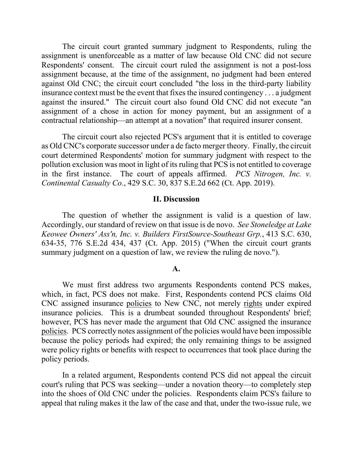The circuit court granted summary judgment to Respondents, ruling the assignment is unenforceable as a matter of law because Old CNC did not secure Respondents' consent. The circuit court ruled the assignment is not a post-loss assignment because, at the time of the assignment, no judgment had been entered against Old CNC; the circuit court concluded "the loss in the third-party liability insurance context must be the event that fixes the insured contingency . . . a judgment against the insured." The circuit court also found Old CNC did not execute "an assignment of a chose in action for money payment, but an assignment of a contractual relationship—an attempt at a novation" that required insurer consent.

The circuit court also rejected PCS's argument that it is entitled to coverage as Old CNC's corporate successor under a de facto merger theory. Finally, the circuit court determined Respondents' motion for summary judgment with respect to the pollution exclusion was moot in light of its ruling that PCS is not entitled to coverage in the first instance. The court of appeals affirmed. *PCS Nitrogen, Inc. v. Continental Casualty Co.*, 429 S.C. 30, 837 S.E.2d 662 (Ct. App. 2019).

#### **II. Discussion**

 The question of whether the assignment is valid is a question of law. Accordingly, our standard of review on that issue is de novo. *See Stoneledge at Lake Keowee Owners' Ass'n, Inc. v. Builders FirstSource-Southeast Grp.*, 413 S.C. 630, 634-35, 776 S.E.2d 434, 437 (Ct. App. 2015) ("When the circuit court grants summary judgment on a question of law, we review the ruling de novo.").

#### **A.**

We must first address two arguments Respondents contend PCS makes, which, in fact, PCS does not make. First, Respondents contend PCS claims Old CNC assigned insurance policies to New CNC, not merely rights under expired insurance policies. This is a drumbeat sounded throughout Respondents' brief; however, PCS has never made the argument that Old CNC assigned the insurance policies. PCS correctly notes assignment of the policies would have been impossible because the policy periods had expired; the only remaining things to be assigned were policy rights or benefits with respect to occurrences that took place during the policy periods.

In a related argument, Respondents contend PCS did not appeal the circuit court's ruling that PCS was seeking—under a novation theory—to completely step into the shoes of Old CNC under the policies. Respondents claim PCS's failure to appeal that ruling makes it the law of the case and that, under the two-issue rule, we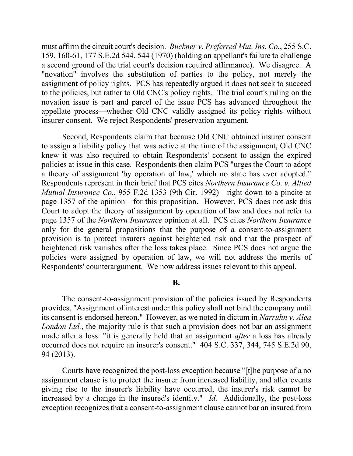must affirm the circuit court's decision. *Buckner v. Preferred Mut. Ins. Co.*, 255 S.C. 159, 160-61, 177 S.E.2d 544, 544 (1970) (holding an appellant's failure to challenge a second ground of the trial court's decision required affirmance). We disagree. A "novation" involves the substitution of parties to the policy, not merely the assignment of policy rights. PCS has repeatedly argued it does not seek to succeed to the policies, but rather to Old CNC's policy rights. The trial court's ruling on the novation issue is part and parcel of the issue PCS has advanced throughout the appellate process—whether Old CNC validly assigned its policy rights without insurer consent. We reject Respondents' preservation argument.

Second, Respondents claim that because Old CNC obtained insurer consent to assign a liability policy that was active at the time of the assignment, Old CNC knew it was also required to obtain Respondents' consent to assign the expired policies at issue in this case. Respondents then claim PCS "urges the Court to adopt a theory of assignment 'by operation of law,' which no state has ever adopted." Respondents represent in their brief that PCS cites *Northern Insurance Co. v. Allied Mutual Insurance Co.*, 955 F.2d 1353 (9th Cir. 1992)—right down to a pincite at page 1357 of the opinion—for this proposition. However, PCS does not ask this Court to adopt the theory of assignment by operation of law and does not refer to page 1357 of the *Northern Insurance* opinion at all. PCS cites *Northern Insurance* only for the general propositions that the purpose of a consent-to-assignment provision is to protect insurers against heightened risk and that the prospect of heightened risk vanishes after the loss takes place. Since PCS does not argue the policies were assigned by operation of law, we will not address the merits of Respondents' counterargument. We now address issues relevant to this appeal.

#### **B.**

The consent-to-assignment provision of the policies issued by Respondents provides, "Assignment of interest under this policy shall not bind the company until its consent is endorsed hereon." However, as we noted in dictum in *Narruhn v. Alea London Ltd.*, the majority rule is that such a provision does not bar an assignment made after a loss: "it is generally held that an assignment *after* a loss has already occurred does not require an insurer's consent." 404 S.C. 337, 344, 745 S.E.2d 90, 94 (2013).

Courts have recognized the post-loss exception because "[t]he purpose of a no assignment clause is to protect the insurer from increased liability, and after events giving rise to the insurer's liability have occurred, the insurer's risk cannot be increased by a change in the insured's identity." *Id.* Additionally, the post-loss exception recognizes that a consent-to-assignment clause cannot bar an insured from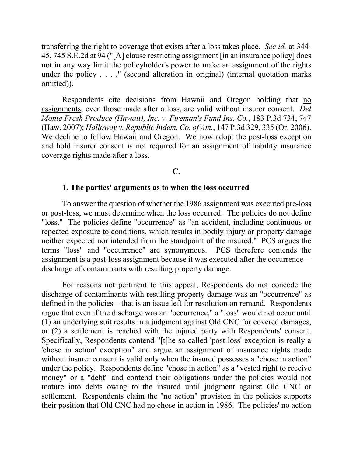transferring the right to coverage that exists after a loss takes place. *See id.* at 344- 45, 745 S.E.2d at 94 ("[A] clause restricting assignment [in an insurance policy] does not in any way limit the policyholder's power to make an assignment of the rights under the policy . . . ." (second alteration in original) (internal quotation marks omitted)).

Respondents cite decisions from Hawaii and Oregon holding that no assignments, even those made after a loss, are valid without insurer consent. *Del Monte Fresh Produce (Hawaii), Inc. v. Fireman's Fund Ins. Co.*, 183 P.3d 734, 747 (Haw. 2007); *Holloway v. Republic Indem. Co. of Am.*, 147 P.3d 329, 335 (Or. 2006). We decline to follow Hawaii and Oregon. We now adopt the post-loss exception and hold insurer consent is not required for an assignment of liability insurance coverage rights made after a loss.

### **C.**

### **1. The parties' arguments as to when the loss occurred**

To answer the question of whether the 1986 assignment was executed pre-loss or post-loss, we must determine when the loss occurred. The policies do not define "loss." The policies define "occurrence" as "an accident, including continuous or repeated exposure to conditions, which results in bodily injury or property damage neither expected nor intended from the standpoint of the insured." PCS argues the terms "loss" and "occurrence" are synonymous. PCS therefore contends the assignment is a post-loss assignment because it was executed after the occurrence discharge of contaminants with resulting property damage.

For reasons not pertinent to this appeal, Respondents do not concede the discharge of contaminants with resulting property damage was an "occurrence" as defined in the policies—that is an issue left for resolution on remand. Respondents argue that even if the discharge was an "occurrence," a "loss" would not occur until (1) an underlying suit results in a judgment against Old CNC for covered damages, or (2) a settlement is reached with the injured party with Respondents' consent. Specifically, Respondents contend "[t]he so-called 'post-loss' exception is really a 'chose in action' exception" and argue an assignment of insurance rights made without insurer consent is valid only when the insured possesses a "chose in action" under the policy. Respondents define "chose in action" as a "vested right to receive money" or a "debt" and contend their obligations under the policies would not mature into debts owing to the insured until judgment against Old CNC or settlement. Respondents claim the "no action" provision in the policies supports their position that Old CNC had no chose in action in 1986. The policies' no action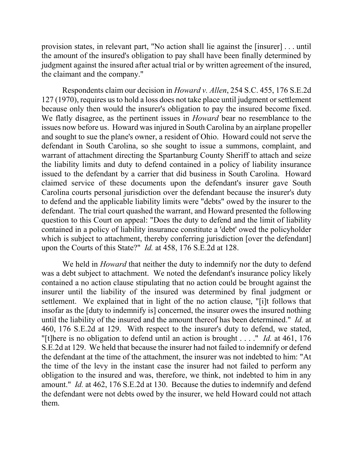provision states, in relevant part, "No action shall lie against the [insurer] . . . until the amount of the insured's obligation to pay shall have been finally determined by judgment against the insured after actual trial or by written agreement of the insured, the claimant and the company."

Respondents claim our decision in *Howard v. Allen*, 254 S.C. 455, 176 S.E.2d 127 (1970), requires us to hold a loss does not take place until judgment or settlement because only then would the insurer's obligation to pay the insured become fixed. We flatly disagree, as the pertinent issues in *Howard* bear no resemblance to the issues now before us. Howard was injured in South Carolina by an airplane propeller and sought to sue the plane's owner, a resident of Ohio. Howard could not serve the defendant in South Carolina, so she sought to issue a summons, complaint, and warrant of attachment directing the Spartanburg County Sheriff to attach and seize the liability limits and duty to defend contained in a policy of liability insurance issued to the defendant by a carrier that did business in South Carolina. Howard claimed service of these documents upon the defendant's insurer gave South Carolina courts personal jurisdiction over the defendant because the insurer's duty to defend and the applicable liability limits were "debts" owed by the insurer to the defendant. The trial court quashed the warrant, and Howard presented the following question to this Court on appeal: "Does the duty to defend and the limit of liability contained in a policy of liability insurance constitute a 'debt' owed the policyholder which is subject to attachment, thereby conferring jurisdiction [over the defendant] upon the Courts of this State?" *Id.* at 458, 176 S.E.2d at 128.

We held in *Howard* that neither the duty to indemnify nor the duty to defend was a debt subject to attachment. We noted the defendant's insurance policy likely contained a no action clause stipulating that no action could be brought against the insurer until the liability of the insured was determined by final judgment or settlement. We explained that in light of the no action clause, "[i]t follows that insofar as the [duty to indemnify is] concerned, the insurer owes the insured nothing until the liability of the insured and the amount thereof has been determined." *Id.* at 460, 176 S.E.2d at 129. With respect to the insurer's duty to defend, we stated, "[t]here is no obligation to defend until an action is brought . . . ." *Id.* at 461, 176 S.E.2d at 129. We held that because the insurer had not failed to indemnify or defend the defendant at the time of the attachment, the insurer was not indebted to him: "At the time of the levy in the instant case the insurer had not failed to perform any obligation to the insured and was, therefore, we think, not indebted to him in any amount." *Id.* at 462, 176 S.E.2d at 130. Because the duties to indemnify and defend the defendant were not debts owed by the insurer, we held Howard could not attach them.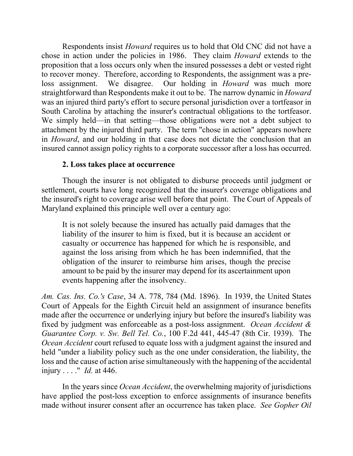Respondents insist *Howard* requires us to hold that Old CNC did not have a chose in action under the policies in 1986. They claim *Howard* extends to the proposition that a loss occurs only when the insured possesses a debt or vested right to recover money. Therefore, according to Respondents, the assignment was a preloss assignment. We disagree. Our holding in *Howard* was much more straightforward than Respondents make it out to be. The narrow dynamic in *Howard* was an injured third party's effort to secure personal jurisdiction over a tortfeasor in South Carolina by attaching the insurer's contractual obligations to the tortfeasor. We simply held—in that setting—those obligations were not a debt subject to attachment by the injured third party. The term "chose in action" appears nowhere in *Howard*, and our holding in that case does not dictate the conclusion that an insured cannot assign policy rights to a corporate successor after a loss has occurred.

# **2. Loss takes place at occurrence**

Though the insurer is not obligated to disburse proceeds until judgment or settlement, courts have long recognized that the insurer's coverage obligations and the insured's right to coverage arise well before that point. The Court of Appeals of Maryland explained this principle well over a century ago:

It is not solely because the insured has actually paid damages that the liability of the insurer to him is fixed, but it is because an accident or casualty or occurrence has happened for which he is responsible, and against the loss arising from which he has been indemnified, that the obligation of the insurer to reimburse him arises, though the precise amount to be paid by the insurer may depend for its ascertainment upon events happening after the insolvency.

*Am. Cas. Ins. Co.'s Case*, 34 A. 778, 784 (Md. 1896). In 1939, the United States Court of Appeals for the Eighth Circuit held an assignment of insurance benefits made after the occurrence or underlying injury but before the insured's liability was fixed by judgment was enforceable as a post-loss assignment. *Ocean Accident & Guarantee Corp. v. Sw. Bell Tel. Co.*, 100 F.2d 441, 445-47 (8th Cir. 1939). The *Ocean Accident* court refused to equate loss with a judgment against the insured and held "under a liability policy such as the one under consideration, the liability, the loss and the cause of action arise simultaneously with the happening of the accidental injury . . . ." *Id.* at 446.

In the years since *Ocean Accident*, the overwhelming majority of jurisdictions have applied the post-loss exception to enforce assignments of insurance benefits made without insurer consent after an occurrence has taken place. *See Gopher Oil*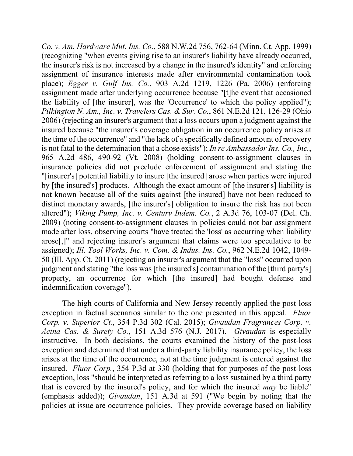*Co. v. Am. Hardware Mut. Ins. Co.*, 588 N.W.2d 756, 762-64 (Minn. Ct. App. 1999) (recognizing "when events giving rise to an insurer's liability have already occurred, the insurer's risk is not increased by a change in the insured's identity" and enforcing assignment of insurance interests made after environmental contamination took place); *Egger v. Gulf Ins. Co.*, 903 A.2d 1219, 1226 (Pa. 2006) (enforcing assignment made after underlying occurrence because "[t]he event that occasioned the liability of [the insurer], was the 'Occurrence' to which the policy applied"); *Pilkington N. Am., Inc. v. Travelers Cas. & Sur. Co.*, 861 N.E.2d 121, 126-29 (Ohio 2006) (rejecting an insurer's argument that a loss occurs upon a judgment against the insured because "the insurer's coverage obligation in an occurrence policy arises at the time of the occurrence" and "the lack of a specifically defined amount of recovery is not fatal to the determination that a chose exists"); *In re Ambassador Ins. Co., Inc.*, 965 A.2d 486, 490-92 (Vt. 2008) (holding consent-to-assignment clauses in insurance policies did not preclude enforcement of assignment and stating the "[insurer's] potential liability to insure [the insured] arose when parties were injured by [the insured's] products. Although the exact amount of [the insurer's] liability is not known because all of the suits against [the insured] have not been reduced to distinct monetary awards, [the insurer's] obligation to insure the risk has not been altered"); *Viking Pump, Inc. v. Century Indem. Co.*, 2 A.3d 76, 103-07 (Del. Ch. 2009) (noting consent-to-assignment clauses in policies could not bar assignment made after loss, observing courts "have treated the 'loss' as occurring when liability arose[,]" and rejecting insurer's argument that claims were too speculative to be assigned); *Ill. Tool Works, Inc. v. Com. & Indus. Ins. Co.*, 962 N.E.2d 1042, 1049- 50 (Ill. App. Ct. 2011) (rejecting an insurer's argument that the "loss" occurred upon judgment and stating "the loss was [the insured's] contamination of the [third party's] property, an occurrence for which [the insured] had bought defense and indemnification coverage").

The high courts of California and New Jersey recently applied the post-loss exception in factual scenarios similar to the one presented in this appeal. *Fluor Corp. v. Superior Ct.*, 354 P.3d 302 (Cal. 2015); *Givaudan Fragrances Corp. v. Aetna Cas. & Surety Co.*, 151 A.3d 576 (N.J. 2017). *Givaudan* is especially instructive. In both decisions, the courts examined the history of the post-loss exception and determined that under a third-party liability insurance policy, the loss arises at the time of the occurrence, not at the time judgment is entered against the insured. *Fluor Corp.*, 354 P.3d at 330 (holding that for purposes of the post-loss exception, loss "should be interpreted as referring to a loss sustained by a third party that is covered by the insured's policy, and for which the insured *may* be liable" (emphasis added)); *Givaudan*, 151 A.3d at 591 ("We begin by noting that the policies at issue are occurrence policies. They provide coverage based on liability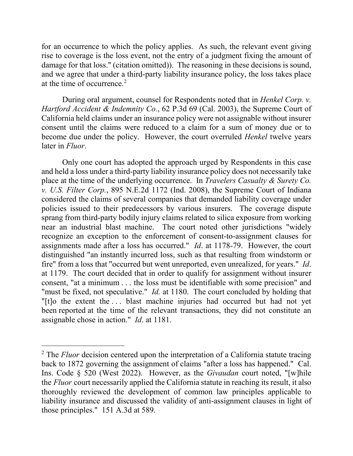for an occurrence to which the policy applies. As such, the relevant event giving rise to coverage is the loss event, not the entry of a judgment fixing the amount of damage for that loss." (citation omitted)). The reasoning in these decisions is sound, and we agree that under a third-party liability insurance policy, the loss takes place at the time of occurrence.<sup>[2](#page-11-0)</sup>

During oral argument, counsel for Respondents noted that in *Henkel Corp. v. Hartford Accident & Indemnity Co.*, 62 P.3d 69 (Cal. 2003), the Supreme Court of California held claims under an insurance policy were not assignable without insurer consent until the claims were reduced to a claim for a sum of money due or to become due under the policy. However, the court overruled *Henkel* twelve years later in *Fluor*.

Only one court has adopted the approach urged by Respondents in this case and held a loss under a third-party liability insurance policy does not necessarily take place at the time of the underlying occurrence. In *Travelers Casualty & Surety Co. v. U.S. Filter Corp.*, 895 N.E.2d 1172 (Ind. 2008), the Supreme Court of Indiana considered the claims of several companies that demanded liability coverage under policies issued to their predecessors by various insurers. The coverage dispute sprang from third-party bodily injury claims related to silica exposure from working near an industrial blast machine. The court noted other jurisdictions "widely recognize an exception to the enforcement of consent-to-assignment clauses for assignments made after a loss has occurred." *Id*. at 1178-79. However, the court distinguished "an instantly incurred loss, such as that resulting from windstorm or fire" from a loss that "occurred but went unreported, even unrealized, for years." *Id*. at 1179. The court decided that in order to qualify for assignment without insurer consent, "at a minimum . . . the loss must be identifiable with some precision" and "must be fixed, not speculative." *Id.* at 1180. The court concluded by holding that "[t]o the extent the . . . blast machine injuries had occurred but had not yet been reported at the time of the relevant transactions, they did not constitute an assignable chose in action." *Id*. at 1181.

 $\overline{a}$ 

<span id="page-11-0"></span><sup>&</sup>lt;sup>2</sup> The *Fluor* decision centered upon the interpretation of a California statute tracing back to 1872 governing the assignment of claims "after a loss has happened." Cal. Ins. Code § 520 (West 2022). However, as the *Givaudan* court noted, "[w]hile the *Fluor* court necessarily applied the California statute in reaching its result, it also thoroughly reviewed the development of common law principles applicable to liability insurance and discussed the validity of anti-assignment clauses in light of those principles." 151 A.3d at 589.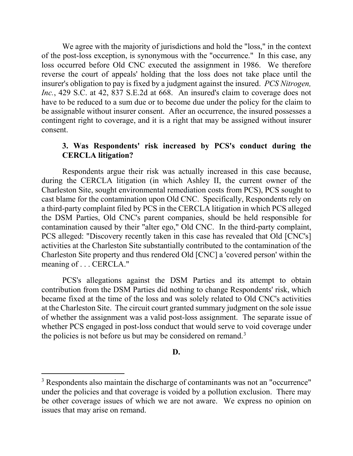We agree with the majority of jurisdictions and hold the "loss," in the context of the post-loss exception, is synonymous with the "occurrence." In this case, any loss occurred before Old CNC executed the assignment in 1986. We therefore reverse the court of appeals' holding that the loss does not take place until the insurer's obligation to pay is fixed by a judgment against the insured. *PCS Nitrogen, Inc.*, 429 S.C. at 42, 837 S.E.2d at 668. An insured's claim to coverage does not have to be reduced to a sum due or to become due under the policy for the claim to be assignable without insurer consent. After an occurrence, the insured possesses a contingent right to coverage, and it is a right that may be assigned without insurer consent.

# **3. Was Respondents' risk increased by PCS's conduct during the CERCLA litigation?**

Respondents argue their risk was actually increased in this case because, during the CERCLA litigation (in which Ashley II, the current owner of the Charleston Site, sought environmental remediation costs from PCS), PCS sought to cast blame for the contamination upon Old CNC. Specifically, Respondents rely on a third-party complaint filed by PCS in the CERCLA litigation in which PCS alleged the DSM Parties, Old CNC's parent companies, should be held responsible for contamination caused by their "alter ego," Old CNC. In the third-party complaint, PCS alleged: "Discovery recently taken in this case has revealed that Old [CNC's] activities at the Charleston Site substantially contributed to the contamination of the Charleston Site property and thus rendered Old [CNC] a 'covered person' within the meaning of . . . CERCLA."

PCS's allegations against the DSM Parties and its attempt to obtain contribution from the DSM Parties did nothing to change Respondents' risk, which became fixed at the time of the loss and was solely related to Old CNC's activities at the Charleston Site. The circuit court granted summary judgment on the sole issue of whether the assignment was a valid post-loss assignment. The separate issue of whether PCS engaged in post-loss conduct that would serve to void coverage under the policies is not before us but may be considered on remand.<sup>[3](#page-12-0)</sup>

#### **D.**

 $\overline{a}$ 

<span id="page-12-0"></span><sup>&</sup>lt;sup>3</sup> Respondents also maintain the discharge of contaminants was not an "occurrence" under the policies and that coverage is voided by a pollution exclusion. There may be other coverage issues of which we are not aware. We express no opinion on issues that may arise on remand.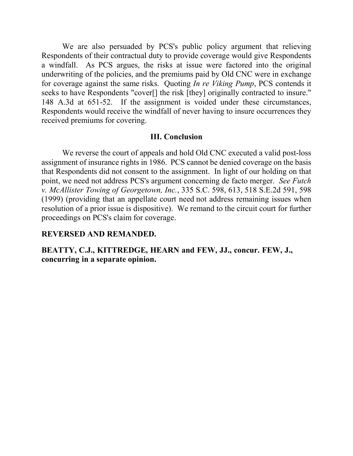We are also persuaded by PCS's public policy argument that relieving Respondents of their contractual duty to provide coverage would give Respondents a windfall. As PCS argues, the risks at issue were factored into the original underwriting of the policies, and the premiums paid by Old CNC were in exchange for coverage against the same risks. Quoting *In re Viking Pump*, PCS contends it seeks to have Respondents "cover[] the risk [they] originally contracted to insure." 148 A.3d at 651-52. If the assignment is voided under these circumstances, Respondents would receive the windfall of never having to insure occurrences they received premiums for covering.

### **III. Conclusion**

We reverse the court of appeals and hold Old CNC executed a valid post-loss assignment of insurance rights in 1986. PCS cannot be denied coverage on the basis that Respondents did not consent to the assignment. In light of our holding on that point, we need not address PCS's argument concerning de facto merger. *See Futch v. McAllister Towing of Georgetown, Inc.*, 335 S.C. 598, 613, 518 S.E.2d 591, 598 (1999) (providing that an appellate court need not address remaining issues when resolution of a prior issue is dispositive). We remand to the circuit court for further proceedings on PCS's claim for coverage.

## **REVERSED AND REMANDED.**

**BEATTY, C.J., KITTREDGE, HEARN and FEW, JJ., concur. FEW, J., concurring in a separate opinion.**